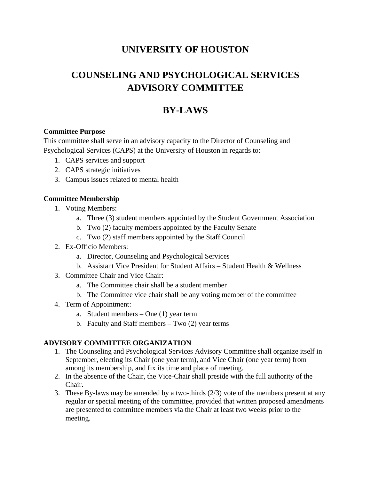## **UNIVERSITY OF HOUSTON**

# **COUNSELING AND PSYCHOLOGICAL SERVICES ADVISORY COMMITTEE**

## **BY-LAWS**

## **Committee Purpose**

This committee shall serve in an advisory capacity to the Director of Counseling and Psychological Services (CAPS) at the University of Houston in regards to:

- 1. CAPS services and support
- 2. CAPS strategic initiatives
- 3. Campus issues related to mental health

## **Committee Membership**

- 1. Voting Members:
	- a. Three (3) student members appointed by the Student Government Association
	- b. Two (2) faculty members appointed by the Faculty Senate
	- c. Two (2) staff members appointed by the Staff Council
- 2. Ex-Officio Members:
	- a. Director, Counseling and Psychological Services
	- b. Assistant Vice President for Student Affairs Student Health & Wellness
- 3. Committee Chair and Vice Chair:
	- a. The Committee chair shall be a student member
	- b. The Committee vice chair shall be any voting member of the committee
- 4. Term of Appointment:
	- a. Student members One (1) year term
	- b. Faculty and Staff members Two (2) year terms

## **ADVISORY COMMITTEE ORGANIZATION**

- 1. The Counseling and Psychological Services Advisory Committee shall organize itself in September, electing its Chair (one year term), and Vice Chair (one year term) from among its membership, and fix its time and place of meeting.
- 2. In the absence of the Chair, the Vice-Chair shall preside with the full authority of the Chair.
- 3. These By-laws may be amended by a two-thirds (2/3) vote of the members present at any regular or special meeting of the committee, provided that written proposed amendments are presented to committee members via the Chair at least two weeks prior to the meeting.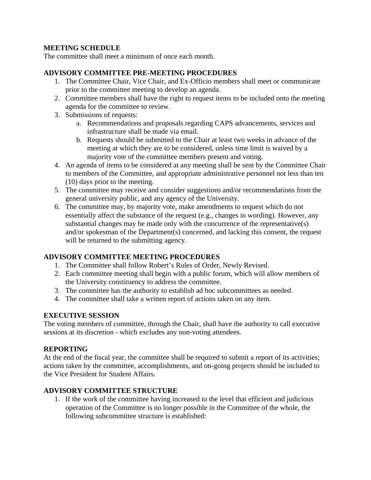## **MEETING SCHEDULE**

The committee shall meet a minimum of once each month.

#### **ADVISORY COMMITTEE PRE-MEETING PROCEDURES**

- 1. The Committee Chair, Vice Chair, and Ex-Officio members shall meet or communicate prior to the committee meeting to develop an agenda.
- 2. Committee members shall have the right to request items to be included onto the meeting agenda for the committee to review.
- 3. Submissions of requests:
	- a. Recommendations and proposals regarding CAPS advancements, services and infrastructure shall be made via email.
	- b. Requests should be submitted to the Chair at least two weeks in advance of the meeting at which they are to be considered, unless time limit is waived by a majority vote of the committee members present and voting.
- 4. An agenda of items to be considered at any meeting shall be sent by the Committee Chair to members of the Committee, and appropriate administrative personnel not less than ten (10) days prior to the meeting.
- 5. The committee may receive and consider suggestions and/or recommendations from the general university public, and any agency of the University.
- 6. The committee may, by majority vote, make amendments to request which do not essentially affect the substance of the request (e.g., changes in wording). However, any substantial changes may be made only with the concurrence of the representative(s) and/or spokesman of the Department(s) concerned, and lacking this consent, the request will be returned to the submitting agency.

## **ADVISORY COMMITTEE MEETING PROCEDURES**

- 1. The Committee shall follow Robert's Rules of Order, Newly Revised.
- 2. Each committee meeting shall begin with a public forum, which will allow members of the University constituency to address the committee.
- 3. The committee has the authority to establish ad hoc subcommittees as needed.
- 4. The committee shall take a written report of actions taken on any item.

## **EXECUTIVE SESSION**

The voting members of committee, through the Chair, shall have the authority to call executive sessions at its discretion - which excludes any non-voting attendees.

#### **REPORTING**

At the end of the fiscal year, the committee shall be required to submit a report of its activities; actions taken by the committee, accomplishments, and on-going projects should be included to the Vice President for Student Affairs.

## **ADVISORY COMMITTEE STRUCTURE**

1. If the work of the committee having increased to the level that efficient and judicious operation of the Committee is no longer possible in the Committee of the whole, the following subcommittee structure is established: